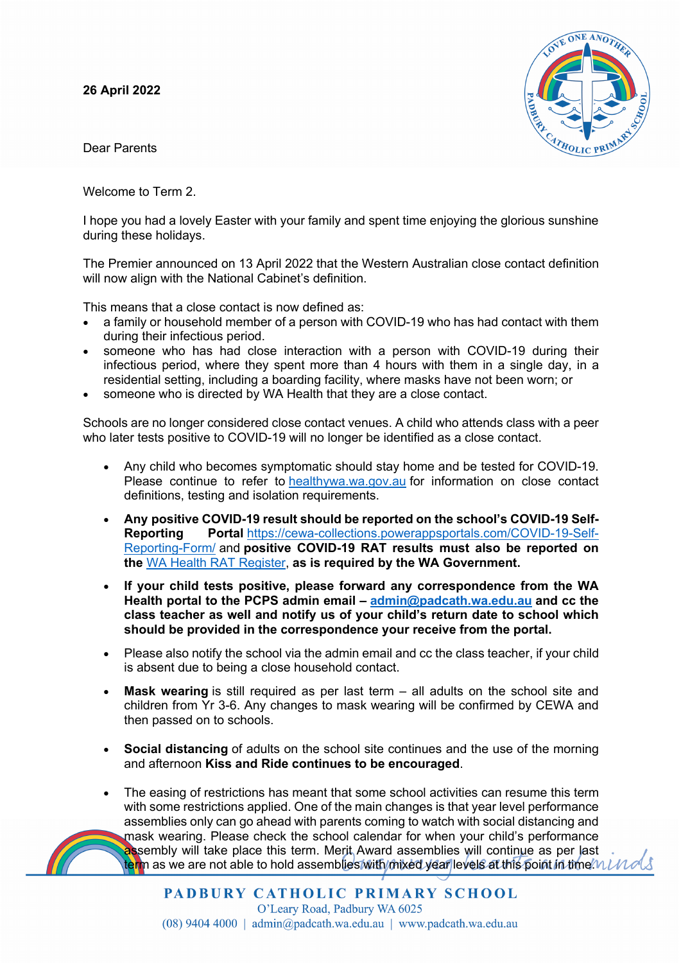## **26 April 2022**

Dear Parents

Welcome to Term 2.

I hope you had a lovely Easter with your family and spent time enjoying the glorious sunshine during these holidays.

The Premier announced on 13 April 2022 that the Western Australian close contact definition will now align with the National Cabinet's definition.

This means that a close contact is now defined as:

- a family or household member of a person with COVID-19 who has had contact with them during their infectious period.
- someone who has had close interaction with a person with COVID-19 during their infectious period, where they spent more than 4 hours with them in a single day, in a residential setting, including a boarding facility, where masks have not been worn; or
- someone who is directed by WA Health that they are a close contact.

Schools are no longer considered close contact venues. A child who attends class with a peer who later tests positive to COVID-19 will no longer be identified as a close contact.

- Any child who becomes symptomatic should stay home and be tested for COVID-19. Please continue to refer to healthywa.wa.gov.au for information on close contact definitions, testing and isolation requirements.
- **Any positive COVID-19 result should be reported on the school's COVID-19 Self-Reporting Portal** https://cewa-collections.powerappsportals.com/COVID-19-Self-Reporting-Form/ and **positive COVID-19 RAT results must also be reported on the** WA Health RAT Register, **as is required by the WA Government.**
- **If your child tests positive, please forward any correspondence from the WA Health portal to the PCPS admin email – admin@padcath.wa.edu.au and cc the class teacher as well and notify us of your child's return date to school which should be provided in the correspondence your receive from the portal.**
- Please also notify the school via the admin email and cc the class teacher, if your child is absent due to being a close household contact.
- **Mask wearing** is still required as per last term all adults on the school site and children from Yr 3-6. Any changes to mask wearing will be confirmed by CEWA and then passed on to schools.
- **Social distancing** of adults on the school site continues and the use of the morning and afternoon **Kiss and Ride continues to be encouraged**.
- The easing of restrictions has meant that some school activities can resume this term with some restrictions applied. One of the main changes is that year level performance assemblies only can go ahead with parents coming to watch with social distancing and mask wearing. Please check the school calendar for when your child's performance assembly will take place this term. Merit Award assemblies will continue as per last term as we are not able to hold assemblies with mixed year levels at this point in time  $\mu\nu\nu\alpha\beta$